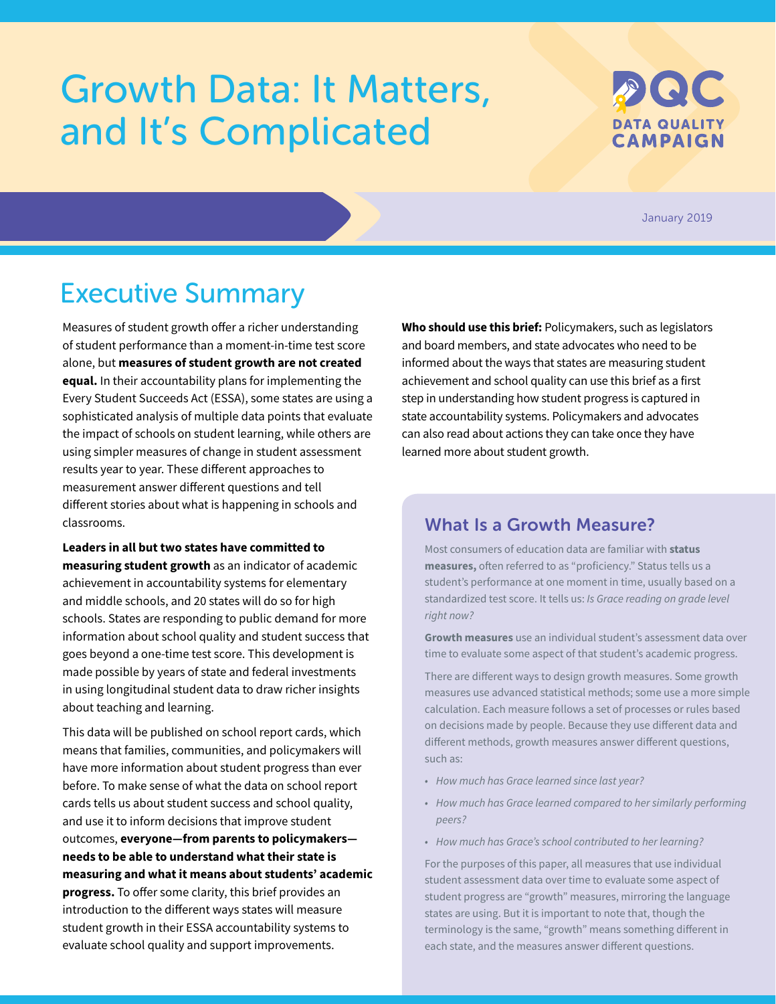# <span id="page-0-0"></span>Growth Data: It Matters, and It's Complicated



January 2019

## Executive Summary

Measures of student growth offer a richer understanding of student performance than a moment-in-time test score alone, but **measures of student growth are not created equal.** In their accountability plans for implementing the Every Student Succeeds Act (ESSA), some states are using a sophisticated analysis of multiple data points that evaluate the impact of schools on student learning, while others are using simpler measures of change in student assessment results year to year. These different approaches to measurement answer different questions and tell different stories about what is happening in schools and classrooms.

**Leaders in all but two states have committed to measuring student growth** as an indicator of academic achievement in accountability systems for elementary and middle schools, and 20 states will do so for high schools. States are responding to public demand for more information about school quality and student success that goes beyond a one-time test score. This development is made possible by years of state and federal investments in using longitudinal student data to draw richer insights about teaching and learning.

This data will be published on school report cards, which means that families, communities, and policymakers will have more information about student progress than ever before. To make sense of what the data on school report cards tells us about student success and school quality, and use it to inform decisions that improve student outcomes, **everyone—from parents to policymakers needs to be able to understand what their state is measuring and what it means about students' academic progress.** To offer some clarity, this brief provides an introduction to the different ways states will measure student growth in their ESSA accountability systems to evaluate school quality and support improvements.

**Who should use this brief:** Policymakers, such as legislators and board members, and state advocates who need to be informed about the ways that states are measuring student achievement and school quality can use this brief as a first step in understanding how student progress is captured in state accountability systems. Policymakers and advocates can also read about actions they can take once they have learned more about student growth.

### What Is a Growth Measure?

Most consumers of education data are familiar with **status measures,** often referred to as "proficiency." Status tells us a student's performance at one moment in time, usually based on a standardized test score. It tells us: *Is Grace reading on grade level right now?* 

**Growth measures** use an individual student's assessment data over time to evaluate some aspect of that student's academic progress.

There are different ways to design growth measures. Some growth measures use advanced statistical methods; some use a more simple calculation. Each measure follows a set of processes or rules based on decisions made by people. Because they use different data and different methods, growth measures answer different questions, such as:

- *• How much has Grace learned since last year?*
- *• How much has Grace learned compared to her similarly performing peers?*
- *• How much has Grace's school contributed to her learning?*

For the purposes of this paper, all measures that use individual student assessment data over time to evaluate some aspect of student progress are "growth" measures, mirroring the language states are using. But it is important to note that, though the terminology is the same, "growth" means something different in each state, and the measures answer different questions.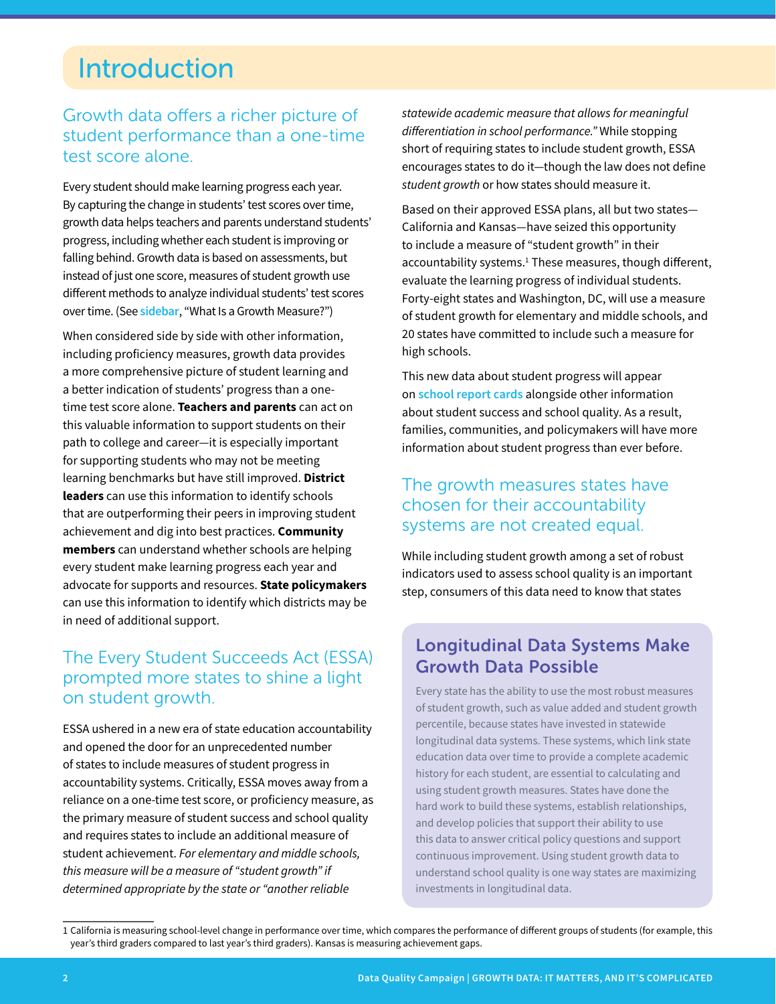## Introduction

## Growth data offers a richer picture of student performance than a one-time test score alone.

Every student should make learning progress each year. By capturing the change in students' test scores over time, growth data helps teachers and parents understand students' progress, including whether each student is improving or falling behind. Growth data is based on assessments, but instead of just one score, measures of student growth use different methods to analyze individual students' test scores over time. (See **[sidebar](#page-0-0)**, "What Is a Growth Measure?")

When considered side by side with other information, including proficiency measures, growth data provides a more comprehensive picture of student learning and a better indication of students' progress than a onetime test score alone. **Teachers and parents** can act on this valuable information to support students on their path to college and career—it is especially important for supporting students who may not be meeting learning benchmarks but have still improved. **District leaders** can use this information to identify schools that are outperforming their peers in improving student achievement and dig into best practices. **Community members** can understand whether schools are helping every student make learning progress each year and advocate for supports and resources. **State policymakers**  can use this information to identify which districts may be in need of additional support.

## The Every Student Succeeds Act (ESSA) prompted more states to shine a light on student growth.

ESSA ushered in a new era of state education accountability and opened the door for an unprecedented number of states to include measures of student progress in accountability systems. Critically, ESSA moves away from a reliance on a one-time test score, or proficiency measure, as the primary measure of student success and school quality and requires states to include an additional measure of student achievement. *For elementary and middle schools, this measure will be a measure of "student growth" if determined appropriate by the state or "another reliable* 

*statewide academic measure that allows for meaningful differentiation in school performance."* While stopping short of requiring states to include student growth, ESSA encourages states to do it—though the law does not define *student growth* or how states should measure it.

Based on their approved ESSA plans, all but two states— California and Kansas—have seized this opportunity to include a measure of "student growth" in their accountability systems.<sup>1</sup> These measures, though different, evaluate the learning progress of individual students. Forty-eight states and Washington, DC, will use a measure of student growth for elementary and middle schools, and 20 states have committed to include such a measure for high schools.

This new data about student progress will appear on **[school report cards](https://dataqualitycampaign.org/showmethedata/)** alongside other information about student success and school quality. As a result, families, communities, and policymakers will have more information about student progress than ever before.

## The growth measures states have chosen for their accountability systems are not created equal.

While including student growth among a set of robust indicators used to assess school quality is an important step, consumers of this data need to know that states

## Longitudinal Data Systems Make Growth Data Possible

Every state has the ability to use the most robust measures of student growth, such as value added and student growth percentile, because states have invested in statewide longitudinal data systems. These systems, which link state education data over time to provide a complete academic history for each student, are essential to calculating and using student growth measures. States have done the hard work to build these systems, establish relationships, and develop policies that support their ability to use this data to answer critical policy questions and support continuous improvement. Using student growth data to understand school quality is one way states are maximizing investments in longitudinal data.

<sup>1</sup> California is measuring school-level change in performance over time, which compares the performance of different groups of students (for example, this year's third graders compared to last year's third graders). Kansas is measuring achievement gaps.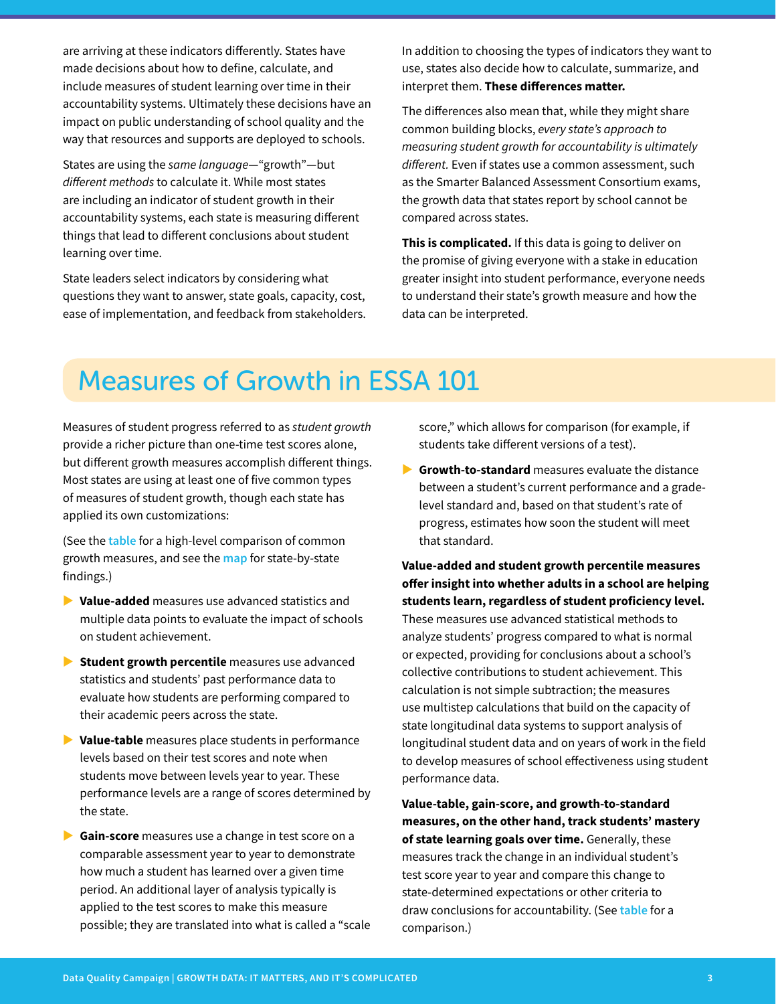are arriving at these indicators differently. States have made decisions about how to define, calculate, and include measures of student learning over time in their accountability systems. Ultimately these decisions have an impact on public understanding of school quality and the way that resources and supports are deployed to schools.

States are using the *same language*—"growth"—but *different methods* to calculate it. While most states are including an indicator of student growth in their accountability systems, each state is measuring different things that lead to different conclusions about student learning over time.

State leaders select indicators by considering what questions they want to answer, state goals, capacity, cost, ease of implementation, and feedback from stakeholders.

In addition to choosing the types of indicators they want to use, states also decide how to calculate, summarize, and interpret them. **These differences matter.**

The differences also mean that, while they might share common building blocks, *every state's approach to measuring student growth for accountability is ultimately different.* Even if states use a common assessment, such as the Smarter Balanced Assessment Consortium exams, the growth data that states report by school cannot be compared across states.

**This is complicated.** If this data is going to deliver on the promise of giving everyone with a stake in education greater insight into student performance, everyone needs to understand their state's growth measure and how the data can be interpreted.

## Measures of Growth in ESSA 101

Measures of student progress referred to as *student growth* provide a richer picture than one-time test scores alone, but different growth measures accomplish different things. Most states are using at least one of five common types of measures of student growth, though each state has applied its own customizations:

(See the **[table](#page-3-0)** for a high-level comparison of common growth measures, and see the **[map](#page-5-0)** for state-by-state findings.)

- X **Value-added** measures use advanced statistics and multiple data points to evaluate the impact of schools on student achievement.
- **X** Student growth percentile measures use advanced statistics and students' past performance data to evaluate how students are performing compared to their academic peers across the state.
- **▶ Value-table** measures place students in performance levels based on their test scores and note when students move between levels year to year. These performance levels are a range of scores determined by the state.
- **► Gain-score** measures use a change in test score on a comparable assessment year to year to demonstrate how much a student has learned over a given time period. An additional layer of analysis typically is applied to the test scores to make this measure possible; they are translated into what is called a "scale

score," which allows for comparison (for example, if students take different versions of a test).

**Signih-to-standard** measures evaluate the distance between a student's current performance and a gradelevel standard and, based on that student's rate of progress, estimates how soon the student will meet that standard.

**Value-added and student growth percentile measures offer insight into whether adults in a school are helping students learn, regardless of student proficiency level.**  These measures use advanced statistical methods to analyze students' progress compared to what is normal or expected, providing for conclusions about a school's collective contributions to student achievement. This calculation is not simple subtraction; the measures use multistep calculations that build on the capacity of state longitudinal data systems to support analysis of longitudinal student data and on years of work in the field to develop measures of school effectiveness using student performance data.

**Value-table, gain-score, and growth-to-standard measures, on the other hand, track students' mastery of state learning goals over time.** Generally, these measures track the change in an individual student's test score year to year and compare this change to state-determined expectations or other criteria to draw conclusions for accountability. (See **[table](#page-3-0)** for a comparison.)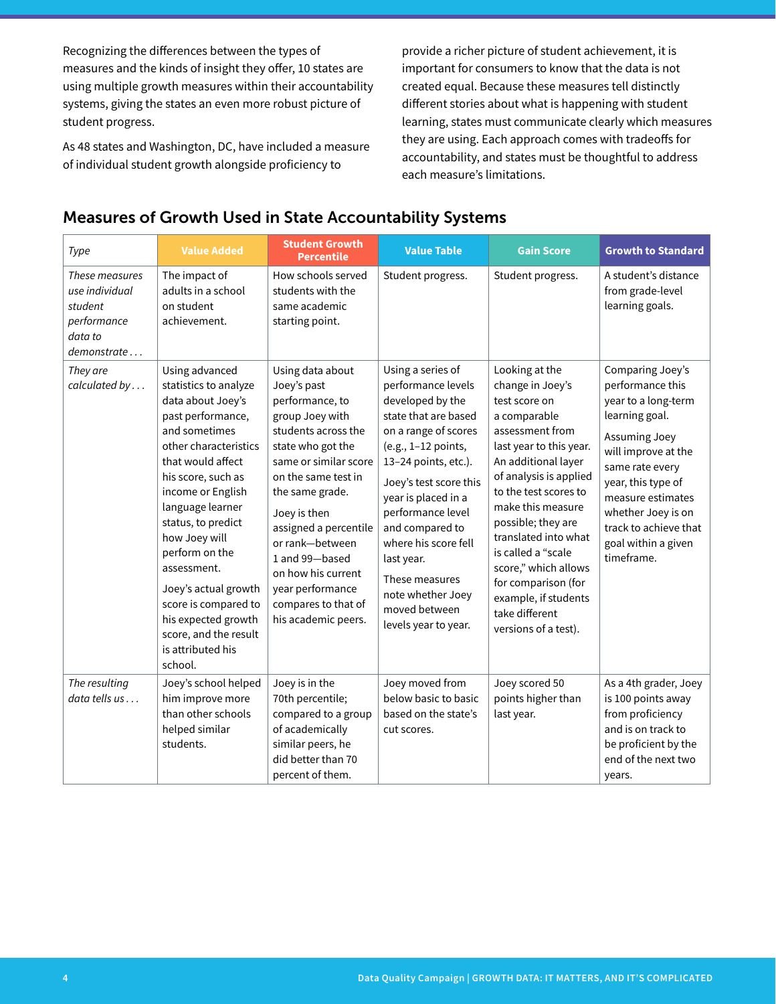<span id="page-3-0"></span>Recognizing the differences between the types of measures and the kinds of insight they offer, 10 states are using multiple growth measures within their accountability systems, giving the states an even more robust picture of student progress.

As 48 states and Washington, DC, have included a measure of individual student growth alongside proficiency to

provide a richer picture of student achievement, it is important for consumers to know that the data is not created equal. Because these measures tell distinctly different stories about what is happening with student learning, states must communicate clearly which measures they are using. Each approach comes with tradeoffs for accountability, and states must be thoughtful to address each measure's limitations.

### **Type Value Added Student Growth <b>Student** Crowth **Percentile Value Table Gain Score Growth to Standard** *These measures use individual student performance data to demonstrate . . .* The impact of adults in a school on student achievement. How schools served students with the same academic starting point. Student progress. Student progress.  $\vert$  A student's distance from grade-level learning goals. *They are calculated by . . .* Using advanced statistics to analyze data about Joey's past performance, and sometimes other characteristics that would affect his score, such as income or English language learner status, to predict how Joey will perform on the assessment. Joey's actual growth score is compared to his expected growth score, and the result is attributed his school. Using data about Joey's past performance, to group Joey with students across the state who got the same or similar score on the same test in the same grade. Joey is then assigned a percentile or rank—between 1 and 99—based on how his current year performance compares to that of his academic peers. Using a series of performance levels developed by the state that are based on a range of scores (e.g., 1–12 points, 13–24 points, etc.). Joey's test score this year is placed in a performance level and compared to where his score fell last year. These measures note whether Joey moved between levels year to year. Looking at the change in Joey's test score on a comparable assessment from last year to this year. An additional layer of analysis is applied to the test scores to make this measure possible; they are translated into what is called a "scale score," which allows for comparison (for example, if students take different versions of a test). Comparing Joey's performance this year to a long-term learning goal. Assuming Joey will improve at the same rate every year, this type of measure estimates whether Joey is on track to achieve that goal within a given timeframe. *The resulting data tells us . . .* Joey's school helped him improve more than other schools helped similar students. Joey is in the 70th percentile; compared to a group of academically similar peers, he did better than 70 percent of them. Joey moved from below basic to basic based on the state's cut scores. Joey scored 50 points higher than last year. As a 4th grader, Joey is 100 points away from proficiency and is on track to be proficient by the end of the next two years.

### Measures of Growth Used in State Accountability Systems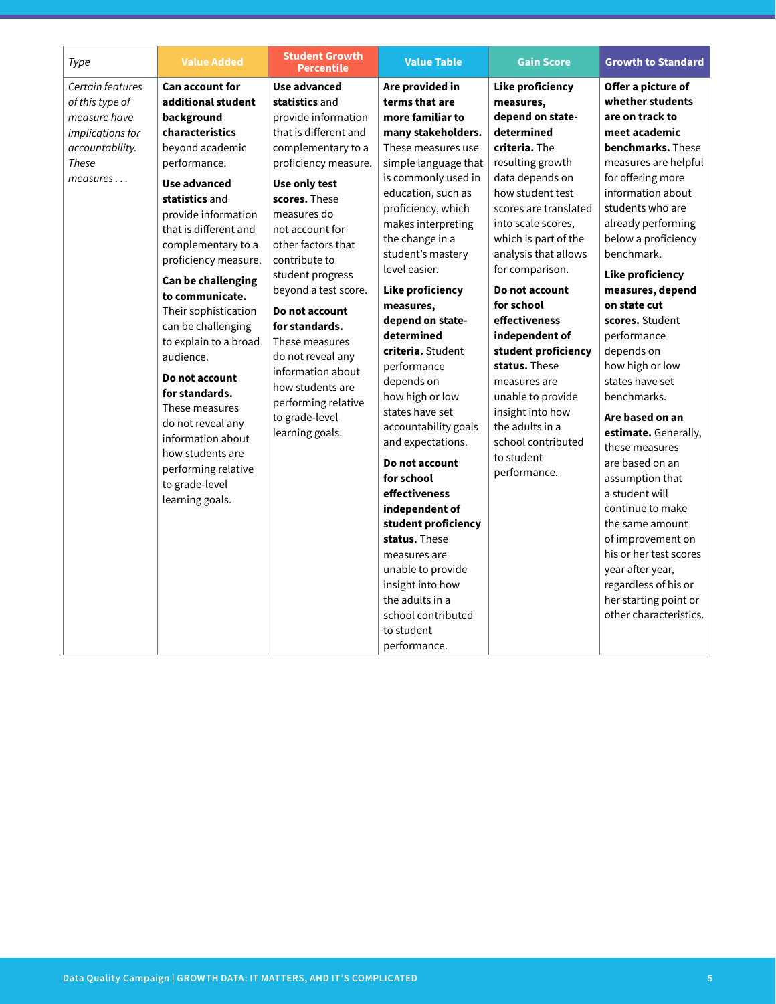| <b>Student Growth</b><br><b>Value Added</b><br>Type<br><b>Percentile</b>                                                                                                                                                                                                                                                                                                                                                                                                                                                                                                                                                                                                                                                                                                                                                                                                                                                                                                                                                                                                                                                                                                                                                                                                    | <b>Value Table</b><br><b>Gain Score</b><br><b>Growth to Standard</b>                                                                                                                                                                                                                                                                                                                                                                                                                                                                                                                                                                                                                                                                                                                                                                                                                                                                                                                                                                                                                                                                                                                                                                                                                                                                                                                                                                                                                                                                                                                                                                                                                                                                                                                                                                                                                 |
|-----------------------------------------------------------------------------------------------------------------------------------------------------------------------------------------------------------------------------------------------------------------------------------------------------------------------------------------------------------------------------------------------------------------------------------------------------------------------------------------------------------------------------------------------------------------------------------------------------------------------------------------------------------------------------------------------------------------------------------------------------------------------------------------------------------------------------------------------------------------------------------------------------------------------------------------------------------------------------------------------------------------------------------------------------------------------------------------------------------------------------------------------------------------------------------------------------------------------------------------------------------------------------|--------------------------------------------------------------------------------------------------------------------------------------------------------------------------------------------------------------------------------------------------------------------------------------------------------------------------------------------------------------------------------------------------------------------------------------------------------------------------------------------------------------------------------------------------------------------------------------------------------------------------------------------------------------------------------------------------------------------------------------------------------------------------------------------------------------------------------------------------------------------------------------------------------------------------------------------------------------------------------------------------------------------------------------------------------------------------------------------------------------------------------------------------------------------------------------------------------------------------------------------------------------------------------------------------------------------------------------------------------------------------------------------------------------------------------------------------------------------------------------------------------------------------------------------------------------------------------------------------------------------------------------------------------------------------------------------------------------------------------------------------------------------------------------------------------------------------------------------------------------------------------------|
| Certain features<br><b>Can account for</b><br>Use advanced<br>additional student<br>statistics and<br>of this type of<br>measure have<br>provide information<br>background<br>characteristics<br>implications for<br>that is different and<br>accountability.<br>beyond academic<br>complementary to a<br><b>These</b><br>performance.<br>proficiency measure.<br>measures<br><b>Use advanced</b><br>Use only test<br>statistics and<br>scores. These<br>provide information<br>measures do<br>that is different and<br>not account for<br>complementary to a<br>other factors that<br>contribute to<br>proficiency measure.<br>level easier.<br>student progress<br>Can be challenging<br>beyond a test score.<br>to communicate.<br>measures,<br>Their sophistication<br>Do not account<br>can be challenging<br>for standards.<br>determined<br>to explain to a broad<br>These measures<br>audience.<br>do not reveal any<br>information about<br>Do not account<br>depends on<br>how students are<br>for standards.<br>performing relative<br>These measures<br>to grade-level<br>do not reveal any<br>learning goals.<br>information about<br>how students are<br>performing relative<br>for school<br>to grade-level<br>learning goals.<br>to student<br>performance. | Offer a picture of<br>Are provided in<br><b>Like proficiency</b><br>whether students<br>terms that are<br>measures,<br>more familiar to<br>depend on state-<br>are on track to<br>determined<br>meet academic<br>many stakeholders.<br>criteria. The<br>benchmarks. These<br>These measures use<br>measures are helpful<br>simple language that<br>resulting growth<br>for offering more<br>is commonly used in<br>data depends on<br>information about<br>education, such as<br>how student test<br>students who are<br>proficiency, which<br>scores are translated<br>already performing<br>makes interpreting<br>into scale scores,<br>which is part of the<br>below a proficiency<br>the change in a<br>benchmark.<br>analysis that allows<br>student's mastery<br>for comparison.<br><b>Like proficiency</b><br>measures, depend<br>Do not account<br><b>Like proficiency</b><br>for school<br>on state cut<br>effectiveness<br>scores. Student<br>depend on state-<br>independent of<br>performance<br>criteria. Student<br>student proficiency<br>depends on<br>how high or low<br>status. These<br>performance<br>states have set<br>measures are<br>benchmarks.<br>how high or low<br>unable to provide<br>states have set<br>insight into how<br>Are based on an<br>the adults in a<br>accountability goals<br>estimate. Generally,<br>school contributed<br>and expectations.<br>these measures<br>to student<br>are based on an<br>Do not account<br>performance.<br>assumption that<br>effectiveness<br>a student will<br>independent of<br>continue to make<br>student proficiency<br>the same amount<br>status. These<br>of improvement on<br>his or her test scores<br>measures are<br>year after year,<br>unable to provide<br>regardless of his or<br>insight into how<br>the adults in a<br>her starting point or<br>other characteristics.<br>school contributed |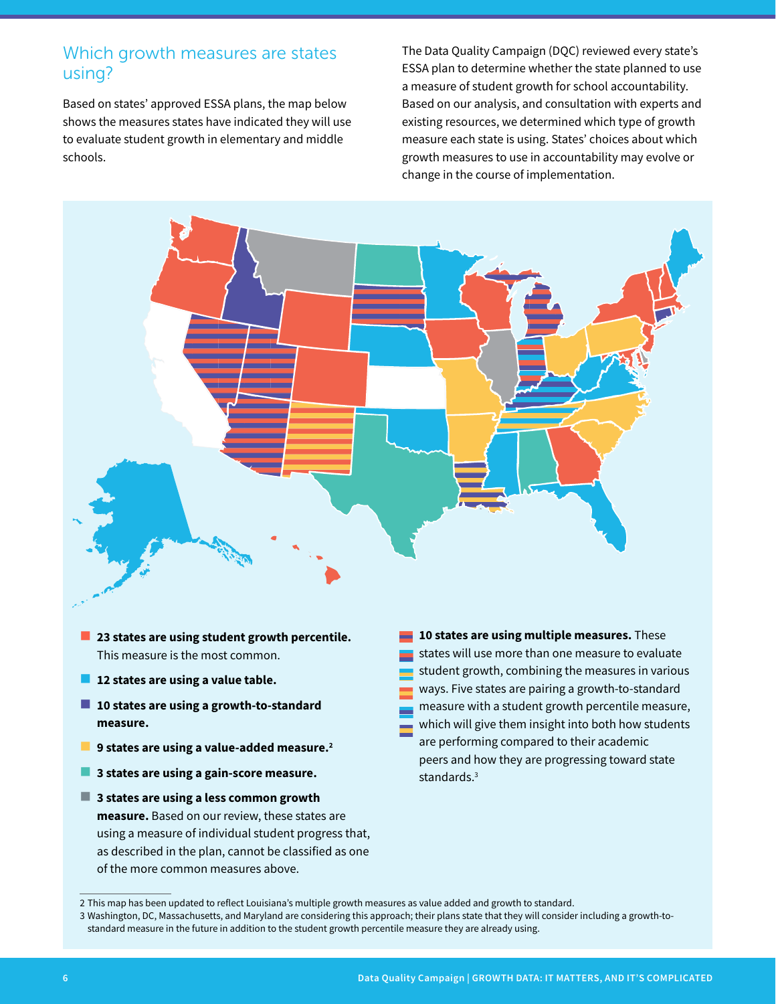### <span id="page-5-0"></span>Which growth measures are states using?

Based on states' approved ESSA plans, the map below shows the measures states have indicated they will use to evaluate student growth in elementary and middle schools.

The Data Quality Campaign (DQC) reviewed every state's ESSA plan to determine whether the state planned to use a measure of student growth for school accountability. Based on our analysis, and consultation with experts and existing resources, we determined which type of growth measure each state is using. States' choices about which **Value Table Gain Score Growth to** growth measures to use in accountability may evolve or **Standard** change in the course of implementation. **Other None**



- **23 states are using student growth percentile.** This measure is the most common. **Value Added Student Growth**  measure is the most common.
- **12 states are using a value table.**  $\mathfrak k$  a value table. ا<br>Petas are using a value tah **Percentile & Growth Student Growth Percentile, Value Table,**
- 10 states are using a growth-to-standard **measure. to Standard Percentile, Value Table, & Growth to Standard to Standard & Growth to Standard**
- **9 states are using a value-added measure.2**
- **3 states are using a gain-score measure.**
- **3 states are using a less common growth measure.** Based on our review, these states are using a measure of individual student progress that, as described in the plan, cannot be classified as one of the more common measures above.

**10 states are using multiple measures.** These states will use more than one measure to evaluate student growth, combining the measures in various ways. Five states are pairing a growth-to-standard **In the case of the Calcular Student growth percentile measure,** which will give them insight into both how students are performing compared to their academic **& Value Added** peers and how they are progressing toward state standards.3 **states** wi **Percentile, Value Table, Browth States will use more than one measure to evaluate Value Added Student Growth**  student growth, combining the measures in variou student growth, combining the measures in value **Value Table Gain Score Growth to ways.** Five states are pairing a **PERCE Value Table** States will use more than **Percentile Value Table**

<sup>2</sup> This map has been updated to reflect Louisiana's multiple growth measures as value added and growth to standard.

<sup>3</sup> Washington, DC, Massachusetts, and Maryland are considering this approach; their plans state that they will consider including a growth-tostandard measure in the future in addition to the student growth percentile measure they are already using.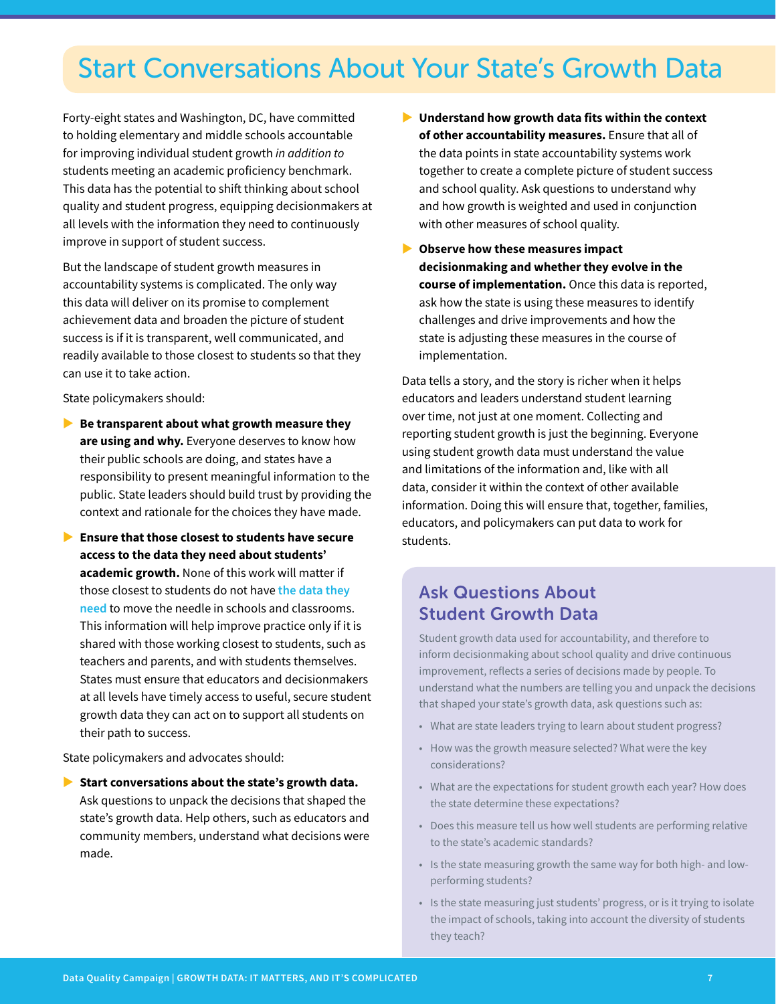## Start Conversations About Your State's Growth Data

Forty-eight states and Washington, DC, have committed to holding elementary and middle schools accountable for improving individual student growth *in addition to*  students meeting an academic proficiency benchmark. This data has the potential to shift thinking about school quality and student progress, equipping decisionmakers at all levels with the information they need to continuously improve in support of student success.

But the landscape of student growth measures in accountability systems is complicated. The only way this data will deliver on its promise to complement achievement data and broaden the picture of student success is if it is transparent, well communicated, and readily available to those closest to students so that they can use it to take action.

State policymakers should:

- **Be transparent about what growth measure they are using and why.** Everyone deserves to know how their public schools are doing, and states have a responsibility to present meaningful information to the public. State leaders should build trust by providing the context and rationale for the choices they have made.
- **Ensure that those closest to students have secure access to the data they need about students' academic growth.** None of this work will matter if those closest to students do not have **[the data they](https://dataqualitycampaign.org/resource/data-can-help-every-student-excel/)  [need](https://dataqualitycampaign.org/resource/data-can-help-every-student-excel/)** to move the needle in schools and classrooms. This information will help improve practice only if it is shared with those working closest to students, such as teachers and parents, and with students themselves. States must ensure that educators and decisionmakers at all levels have timely access to useful, secure student growth data they can act on to support all students on their path to success.

State policymakers and advocates should:

Start conversations about the state's growth data. Ask questions to unpack the decisions that shaped the state's growth data. Help others, such as educators and community members, understand what decisions were made.

- X **Understand how growth data fits within the context of other accountability measures.** Ensure that all of the data points in state accountability systems work together to create a complete picture of student success and school quality. Ask questions to understand why and how growth is weighted and used in conjunction with other measures of school quality.
- $\triangleright$  Observe how these measures impact **decisionmaking and whether they evolve in the course of implementation.** Once this data is reported, ask how the state is using these measures to identify challenges and drive improvements and how the state is adjusting these measures in the course of implementation.

Data tells a story, and the story is richer when it helps educators and leaders understand student learning over time, not just at one moment. Collecting and reporting student growth is just the beginning. Everyone using student growth data must understand the value and limitations of the information and, like with all data, consider it within the context of other available information. Doing this will ensure that, together, families, educators, and policymakers can put data to work for students.

## Ask Questions About Student Growth Data

Student growth data used for accountability, and therefore to inform decisionmaking about school quality and drive continuous improvement, reflects a series of decisions made by people. To understand what the numbers are telling you and unpack the decisions that shaped your state's growth data, ask questions such as:

- What are state leaders trying to learn about student progress?
- How was the growth measure selected? What were the key considerations?
- What are the expectations for student growth each year? How does the state determine these expectations?
- Does this measure tell us how well students are performing relative to the state's academic standards?
- Is the state measuring growth the same way for both high- and lowperforming students?
- Is the state measuring just students' progress, or is it trying to isolate the impact of schools, taking into account the diversity of students they teach?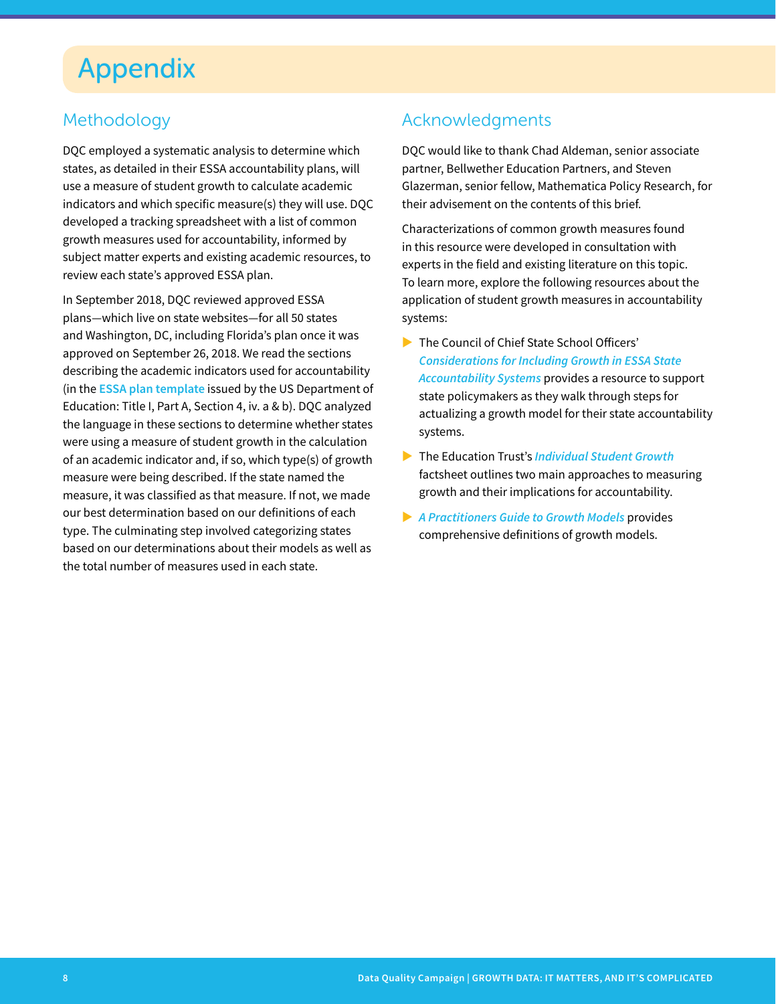## Appendix

## Methodology

DQC employed a systematic analysis to determine which states, as detailed in their ESSA accountability plans, will use a measure of student growth to calculate academic indicators and which specific measure(s) they will use. DQC developed a tracking spreadsheet with a list of common growth measures used for accountability, informed by subject matter experts and existing academic resources, to review each state's approved ESSA plan.

In September 2018, DQC reviewed approved ESSA plans—which live on state websites—for all 50 states and Washington, DC, including Florida's plan once it was approved on September 26, 2018. We read the sections describing the academic indicators used for accountability (in the **[ESSA plan template](https://www2.ed.gov/admins/lead/account/stateplan17/plans.html)** issued by the US Department of Education: Title I, Part A, Section 4, iv. a & b). DQC analyzed the language in these sections to determine whether states were using a measure of student growth in the calculation of an academic indicator and, if so, which type(s) of growth measure were being described. If the state named the measure, it was classified as that measure. If not, we made our best determination based on our definitions of each type. The culminating step involved categorizing states based on our determinations about their models as well as the total number of measures used in each state.

## Acknowledgments

DQC would like to thank Chad Aldeman, senior associate partner, Bellwether Education Partners, and Steven Glazerman, senior fellow, Mathematica Policy Research, for their advisement on the contents of this brief.

Characterizations of common growth measures found in this resource were developed in consultation with experts in the field and existing literature on this topic. To learn more, explore the following resources about the application of student growth measures in accountability systems:

- The Council of Chief State School Officers' *[Considerations for Including Growth in ESSA State](https://ccsso.org/sites/default/files/2017-10/CCSSOGrowthInESSAAccountabilitySystems1242017.pdf)  [Accountability Systems](https://ccsso.org/sites/default/files/2017-10/CCSSOGrowthInESSAAccountabilitySystems1242017.pdf)* provides a resource to support state policymakers as they walk through steps for actualizing a growth model for their state accountability systems.
- ▶ The Education Trust's *[Individual Student Growth](https://edtrust.org/students-cant-wait/individual-student-growth/)* factsheet outlines two main approaches to measuring growth and their implications for accountability.
- X *[A Practitioners Guide to Growth Models](https://scholar.harvard.edu/files/andrewho/files/a_pracitioners_guide_to_growth_models.pdf)* provides comprehensive definitions of growth models.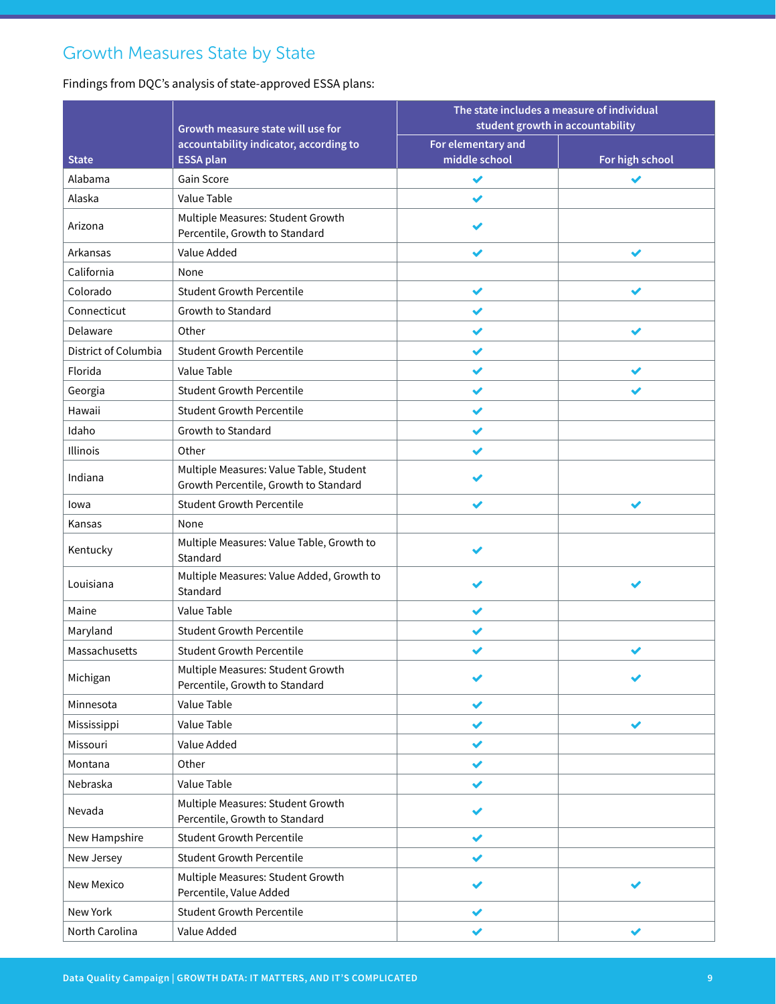## Growth Measures State by State

Findings from DQC's analysis of state-approved ESSA plans:

|                      |                                                                                  | The state includes a measure of individual<br>student growth in accountability |                 |
|----------------------|----------------------------------------------------------------------------------|--------------------------------------------------------------------------------|-----------------|
|                      | Growth measure state will use for                                                |                                                                                |                 |
| <b>State</b>         | accountability indicator, according to<br><b>ESSA plan</b>                       | For elementary and<br>middle school                                            | For high school |
| Alabama              | Gain Score                                                                       | ✔                                                                              | ✔               |
| Alaska               | Value Table                                                                      |                                                                                |                 |
| Arizona              | Multiple Measures: Student Growth<br>Percentile, Growth to Standard              |                                                                                |                 |
| Arkansas             | Value Added                                                                      |                                                                                | ✔               |
| California           | None                                                                             |                                                                                |                 |
| Colorado             | <b>Student Growth Percentile</b>                                                 | ✔                                                                              | ✔               |
| Connecticut          | Growth to Standard                                                               | ✔                                                                              |                 |
| Delaware             | Other                                                                            | ✔                                                                              | ✔               |
| District of Columbia | <b>Student Growth Percentile</b>                                                 | ✔                                                                              |                 |
| Florida              | Value Table                                                                      |                                                                                | ✔               |
| Georgia              | <b>Student Growth Percentile</b>                                                 | ✔                                                                              |                 |
| Hawaii               | <b>Student Growth Percentile</b>                                                 |                                                                                |                 |
| Idaho                | Growth to Standard                                                               | ✔                                                                              |                 |
| Illinois             | Other                                                                            | ✔                                                                              |                 |
| Indiana              | Multiple Measures: Value Table, Student<br>Growth Percentile, Growth to Standard |                                                                                |                 |
| lowa                 | <b>Student Growth Percentile</b>                                                 |                                                                                |                 |
| Kansas               | None                                                                             |                                                                                |                 |
| Kentucky             | Multiple Measures: Value Table, Growth to<br>Standard                            |                                                                                |                 |
| Louisiana            | Multiple Measures: Value Added, Growth to<br>Standard                            |                                                                                |                 |
| Maine                | Value Table                                                                      |                                                                                |                 |
| Maryland             | <b>Student Growth Percentile</b>                                                 |                                                                                |                 |
| Massachusetts        | <b>Student Growth Percentile</b>                                                 |                                                                                |                 |
| Michigan             | Multiple Measures: Student Growth<br>Percentile, Growth to Standard              | ✔                                                                              | ✔               |
| Minnesota            | Value Table                                                                      | ✔                                                                              |                 |
| Mississippi          | Value Table                                                                      | ✔                                                                              | ✔               |
| Missouri             | Value Added                                                                      | ✔                                                                              |                 |
| Montana              | Other                                                                            | ✔                                                                              |                 |
| Nebraska             | Value Table                                                                      | ✔                                                                              |                 |
| Nevada               | Multiple Measures: Student Growth<br>Percentile, Growth to Standard              |                                                                                |                 |
| New Hampshire        | <b>Student Growth Percentile</b>                                                 | ✔                                                                              |                 |
| New Jersey           | <b>Student Growth Percentile</b>                                                 | ✔                                                                              |                 |
| New Mexico           | Multiple Measures: Student Growth<br>Percentile, Value Added                     |                                                                                |                 |
| New York             | <b>Student Growth Percentile</b>                                                 | ✔                                                                              |                 |
| North Carolina       | Value Added                                                                      | ✔                                                                              | ✔               |